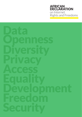# **AFRICAN** DECLARATION on Internet Rights and Freedoms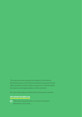This document was prepared by members of the African Declaration group, a Pan-African initiative to promote human rights standards and principles of openness in Internet policy formulation and implementation on the continent.

For more information visit the African Declaration website

#### africaninternetrights.org

This work is licensed under a Creative Commons Attribution 3.0 License.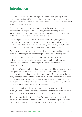# Introduction

A fundamental challenge in need of urgent resolution in the digital age is how to protect human rights and freedoms on the Internet, and the African continent is no exception. The African Declaration on Internet Rights and Freedoms was developed in response to this challenge.

Access to the Internet is increasing rapidly across the African continent, with millions of individuals getting online and engaging on a wide range of issues on social media and in other digital platforms – including political matters, governance, and social and economic development, among others.

As in other parts of the world, many African countries are beginning to adopt policies, regulations or laws to regulate and, in some cases, control the Internet. In effect, many African countries are transitioning from a low regulatory Internet environment to what is fast becoming a heavily regulated environment.

Often, these laws and regulations not only fail to protect human rights but violate established human rights norms and principles without adequate safeguards.

It is therefore clear that many governments in Africa lack both the technical and legal resources to legislate appropriately and the political will to provide comprehensive protection to human rights in context of the Internet and digital technologies.

Much of the effort to regulate the Internet and online activities appears to replicate some practices from other countries which do not protect and promote human rights in relation to the Internet and digital technologies. The tendency has been for many African governments to take problematic laws from other countries or other regions and apply them with few or no changes. Invariably, the contexts and local conditions in the countries where such laws have been adopted are very different from those where the laws were originally developed.

In addition, the policy and legislative processes in most African countries lack meaningful mechanisms for inclusive participation, with the result that many critical stakeholders, particularly from civil society, are frequently excluded.

The consequence has been the adoption of instruments which tend to invade privacy, repress freedom of expression online and violate other rights, such as the right to a fair hearing in a court of law. An analysis of these instruments shows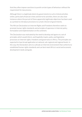that they often impose sanctions to punish certain types of behaviour without the requirement for due process.

Although there is a legitimate desire by governments to curb criminal activities online, particularly financial crimes and terrorist activities, there are also clear instances where the pursuit of these apparently legitimate objectives has been used as a pretext to introduce provisions to curtail criticism of governments.

The African Declaration on Internet Rights and Freedoms therefore seeks to promote human rights standards and principles of openness in Internet policy formulation and implementation on the continent.

The Declaration was motivated by the need to develop and agree on a set of principles which would inform, and hopefully inspire, policy and legislative processes on Internet rights, freedoms and governance in Africa. The principles are expected to have broad application at national, sub-regional and regional levels. In this way, the Declaration aims to cultivate an Internet environment that conforms to established human rights standards and can best meet Africa's social and economic development needs and goals.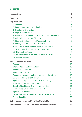# **Contents**

| <b>Introduction</b>                                     | 1              |
|---------------------------------------------------------|----------------|
| <b>Preamble</b>                                         | 4              |
| <b>Key Principles</b>                                   | 6              |
| 1. Openness                                             | 7              |
| 2. Internet Access and Affordability                    | $\overline{7}$ |
| 3. Freedom of Expression                                | 7              |
| 4. Right to Information                                 | 8              |
| 5. Freedom of Assembly and Association and the Internet | 8              |
| 6. Cultural and Linguistic Diversity                    | 8              |
| 7. Right to Development and Access to Knowledge         | 8              |
| 8. Privacy and Personal Data Protection                 | 8              |
| 9. Security, Stability and Resilience of the Internet   | 9              |
| 10. Marginalised Groups and Groups at Risk              | 9              |
| 11. Right to Due Process                                | 9              |
| 12. Democratic Multistakeholder Internet Governance     | 10             |
| 13. Gender Equality                                     | 10             |
| <b>Application of Principles</b>                        | 12             |
| <b>Openness</b>                                         | 13             |
| <b>Internet Access and Affordability</b>                | 13             |
| <b>Freedom of Expression</b>                            | 14             |
| <b>Right to Information</b>                             | 15             |
| Freedom of Assembly and Association and the Internet    | 16             |
| <b>Cultural and Linguistic Diversity</b>                | 17             |
| <b>Right to Development and Access to Knowledge</b>     | 17             |
| <b>Privacy and Personal Data Protection</b>             | 17             |
| Security, Stability and Resilience of the Internet      | 19             |
| <b>Marginalised Groups and Groups at Risk</b>           | 19             |
| <b>Right to Due Process</b>                             | 20             |
| Democratic Multistakeholder Internet Governance         | 20             |
| <b>Gender Equality</b>                                  | 20             |
| <b>Call to Governments and All Other Stakeholders</b>   | 22             |
| Some of the Groups Involved in the African Declaration  | 26             |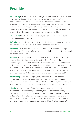# Preamble

**Emphasising** that the Internet is an enabling space and resource for the realisation of all human rights, including the right to hold opinions without interference, the right to freedom of expression and information, the right to freedom of assembly and association, the right to freedom of thought, conscience and religion, the right to be free from discrimination in all forms, the right of ethnic, religious or linguistic minorities to enjoy their own culture, to profess and practise their own religion, or to use their own language, and economic, social and cultural rights;

**Emphasising** that the Internet is particularly relevant to social, economic and human development in Africa;

Affirming that in order to fully benefit from its development potential, the Internet must be accessible, available and affordable for all persons in Africa;

Affirming further that the Internet is a vital tool for the realisation of the right of all people to participate freely in the governance of their country, and to enjoy equal access to public services;

**Recalling** that a number of regional standards are relevant to the protection of human rights on the Internet, in particular the African Charter on Human and Peoples' Rights of 1981, the Windhoek Declaration on Promoting an Independent and Pluralistic African Press of 1991, the African Charter on Broadcasting of 2001, the Declaration of Principles on Freedom of Expression in Africa of 2002, the African Platform on Access to Information Declaration of 2011, and the African Union Convention on Cyber-security and Personal Data Protection of 2014;

**Acknowledging** the roles being played by many African and international organisations, including the African Union Commission, the United Nations Economic Commission for Africa (UNECA), the NEPAD Planning and Coordinating Agency and UNESCO, in promoting access to and use of the Internet in Africa;

**Mindful** of the continuing efforts of international organisations and other stakeholders to develop principles that apply human rights to the Internet, particularly since the Joint Declaration of 2011 concerning Freedom of Expression and the Internet by the four Special Rapporteurs on Freedom of Expression: including the United Nations Human Rights Council resolution of 2012 on The promotion, protection and enjoyment of human rights on the Internet; the UN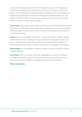General Assembly resolution of 2013 on The right to privacy in the digital age; the UN Human Rights Council Resolution of 2014 on The Internet and Human Rights; the United Nations Guiding Principles on Business and Human Rights; the Johannesburg Principles on Freedom of Expression and National Security; The Right to Share Principles, The Necessary and Proportionate Principles; and the Manila Principles on Intermediary Liability;

**Concerned** by the continuing inequality in access to and use of the Internet, and the increasing use of the Internet by state and non-state actors as a means of violating individual rights to privacy and freedom of expression through mass surveillance and related activities;

Aware that some individuals and groups – in particular women and girls, people with disabilities, ethnic, religious and sexual minorities, and people living in rural areas – might be threatened with exclusion and marginalisation in relation to exercising their human rights in relation to the Internet and digital technologies;

**Emphasising** the responsibility of states to respect, protect and fulfil the human rights of all people;

**Convinced** that it is critical for all African stakeholders to invest in creating an enabling and empowering Internet environment that truly serves the needs of Africans through the adoption and implementation of this Declaration.

#### We herein declare: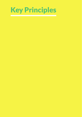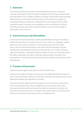# 1. Openness

The Internet should have an open and distributed architecture, and should continue to be based on open standards and application interfaces and guarantee interoperability so as to enable a common exchange of information and knowledge. Opportunities to share ideas and information on the Internet are integral to promoting freedom of expression, media pluralism and cultural diversity. Open standards support innovation and competition, and a commitment to network neutrality promotes equal and non-discriminatory access to and exchange of information on the Internet.

#### 2. Internet Access and Affordability

Access to the Internet should be available and affordable to all persons in Africa without discrimination on any ground such as race, colour, sex, language, religion, political or other opinion, national or social origin, property, birth or other status. Access to the Internet plays a vital role in the full realisation of human development, and facilitates the exercise and enjoyment of a number of human rights and freedoms, including the right to freedom of expression and information, the right to education, the right to assembly and association, the right to full participation in social, cultural and political life and the right to social and economic development.

#### 3. Freedom of Expression

Everyone has the right to hold opinions without interference.

Everyone has a right to freedom of expression; this right shall include freedom to seek, receive and impart information and ideas of all kinds through the Internet and digital technologies and regardless of frontiers.

The exercise of this right should not be subject to any restrictions, except those which are provided by law, pursue a legitimate aim as expressly listed under international human rights law (namely the rights or reputations of others, the protection of national security, or of public order, public health or morals) and are necessary and proportionate in pursuance of a legitimate aim.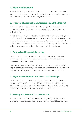# 4. Right to Information

Everyone has the right to access information on the Internet. All information, including scientific and social research, produced with the support of public funds, should be freely available to all, including on the Internet.

# 5. Freedom of Assembly and Association and the Internet

Everyone has the right to use the Internet and digital technologies in relation to freedom of assembly and association, including through social networks and platforms.

No restrictions on usage of and access to the Internet and digital technologies in relation to the right to freedom of assembly and association may be imposed unless the restriction is prescribed by law, pursues a legitimate aim as expressly listed under international human rights law (as specified in Principle 3 of this Declaration) and is necessary and proportionate in pursuance of a legitimate aim.

# 6. Cultural and Linguistic Diversity

Individuals and communities have the right to use their own language or any language of their choice to create, share and disseminate information and knowledge through the Internet.

Linguistic and cultural diversity enriches the development of society. Africa's linguistic and cultural diversity, including the presence of all African and minority languages, should be protected, respected and promoted on the Internet.

# 7. Right to Development and Access to Knowledge

Individuals and communities have the right to development, and the Internet has a vital role to play in helping to achieve the full realisation of nationally and internationally agreed sustainable development goals. It is a vital tool for giving everyone the means to participate in development processes.

# 8. Privacy and Personal Data Protection

Everyone has the right to privacy online, including the right to the protection of personal data concerning him or her. Everyone has the right to communicate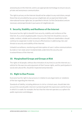anonymously on the Internet, and to use appropriate technology to ensure secure, private and anonymous communication.

The right to privacy on the Internet should not be subject to any restrictions, except those that are provided by law, pursue a legitimate aim as expressly listed under international human rights law, (as specified in Article 3 of this Declaration) and are necessary and proportionate in pursuance of a legitimate aim.

#### 9. Security, Stability and Resilience of the Internet

Everyone has the right to benefit from security, stability and resilience of the Internet. As a universal global public resource, the Internet should be a secure, stable, resilient, reliable and trustworthy network. Different stakeholders should continue to cooperate in order to ensure effectiveness in addressing risks and threats to security and stability of the Internet.

Unlawful surveillance, monitoring and interception of users' online communications by state or non-state actors fundamentally undermine the security and trustworthiness of the Internet.

# 10. Marginalised Groups and Groups at Risk

The rights of all people, without discrimination of any kind, to use the Internet as a vehicle for the exercise and enjoyment of their human rights, and for participation in social and cultural life, should be respected and protected.

#### 11. Right to Due Process

Everyone has the right to due process in relation to any legal claims or violations of the law regarding the Internet.

Standards of liability, including defences in civil or criminal cases, should take into account the overall public interest in protecting both the expression and the forum in which it is made; for example, the fact that the Internet operates as a sphere for public expression and dialogue.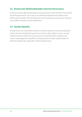#### 12. Democratic Multistakeholder Internet Governance

Everyone has the right to participate in the governance of the Internet. The Internet should be governed in such a way as to uphold and expand human rights to the fullest extent possible. The Internet governance framework must be open, inclusive, accountable, transparent and collaborative.

# 13. Gender Equality

To help ensure the elimination of all forms of discrimination on the basis of gender, women and men should have equal access to learn about, define, access, use and shape the Internet. Efforts to increase access should therefore recognise and redress existing gender inequalities, including women's under-representation in decision-making roles, especially in Internet governance.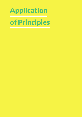# Application of Principles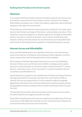#### Realising these Principles on the Internet requires:

#### **Openness**

In accordance with the principle of network neutrality, all data on the Internet must be treated in an equal and non-discriminatory manner, and shall not be charged differentially, according to user, content, site, platform, application, type of attached equipment, and modes of communication.

The architecture of the Internet is to be preserved as a vehicle for free, open, equal and non-discriminatory exchange of information, communication and culture. There should be no special privileges for, or obstacles against, the exchange of information online or any party or content on economic, social, cultural or political grounds. However, nothing in this Declaration may be interpreted as preventing affirmative action aimed at ensuring substantive equality for marginalised peoples or groups.

#### Internet Access and Affordability

Access and affordability policies and regulations that foster universal and equal access to the Internet, including fair and transparent market regulation, universal service requirements and licensing agreements, must be adopted.

Direct support to facilitate high-speed Internet access, such as by establishing necessary infrastructure and infrastructure facilities, including access to openly licensed or unlicensed spectrum, electricity supply, community-based ICT centres, libraries, community centres, clinics and schools, is crucial to making the Internet accessible to and affordable for all.

Equally important is support for the establishment of national and regional Internet exchange points (IXPs) to rationalise and reduce the cost of Internet traffic at national, local and sub-regional levels. It is also essential to address the gender digital divide, with factors such as level of employment, education, poverty, literacy and geographical location resulting in African women having lower levels of access than men.

The sharing of best practices about how to improve Internet access for all sectors of society should be encouraged among African states.

These efforts should be geared towards ensuring the best possible level of Internet connectivity at affordable and reasonable costs for all, with particular initiatives for unserved and underserved areas and communities.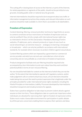The cutting off or slowing down of access to the Internet, or parts of the Internet, for whole populations or segments of the public, should not be permitted on any grounds, including public order or national security grounds.

Internet intermediaries should be required to be transparent about any traffic or information management practices they employ, and relevant information on such practices should be made available in a form that is accessible to all stakeholders.

# Freedom of Expression

Content blocking, filtering, removal and other technical or legal limits on access to content constitute serious restrictions on freedom of expression and can only be justified if they strictly comply with international human rights law as reiterated in Article 3 of this Declaration. Mandatory blocking of entire websites, IP addresses, ports, network protocols or types of uses (such as social networking) is an extreme measure – analogous to banning a newspaper or broadcaster – which can only be justified in accordance with international standards, for example where necessary to protect children against sexual abuse.

Content filtering systems which are imposed by a government or commercial service provider and which are not end-user controlled are a form of prior censorship and are not justifiable as a restriction on freedom of expression.

Products designed to facilitate end-user filtering should be required to be accompanied by clear information to end-users about how they work and their potential pitfalls in terms of over-inclusive filtering.

No-one should be held liable for content on the Internet of which they are not the author. To the extent that intermediaries operate self-regulatory systems, and/or make judgement calls on content and privacy issues, all such decisions should be made taking into account the need to protect expression that is legitimate under the principles provided for under international human rights standards, including the Manila Principles on Intermediary Liability. Processes developed by intermediaries should be transparent and include provisions for appeals.

States have a positive obligation to take steps to prevent violent attacks against anyone on their territory. These obligations take on a particular importance when individuals are attacked for exercising their right to freedom of expression online. States must create a favourable environment for participation in public debate by all the persons concerned, enabling them to express their opinions and ideas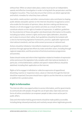without fear. When an attack takes place, states must launch an independent, speedy and effective investigation in order to bring both the perpetrators and the instigators to justice. They must also ensure that victims can obtain appropriate and holistic remedies for what they have suffered.

Journalists, media workers and other communicators who contribute to shaping public debate and public opinion on the Internet should be recognised as actors who enable the formation of opinions, ideas, decision-making and democracy. Attacks on all who engage in journalistic activities as a result of their work constitute attacks on the right to freedom of expression. In addition, guidelines for the protection of those who gather and disseminate information to the public, including journalists, women's rights and human rights defenders, should be put in place to ensure their safety. Such guidelines should be formulated with a view to harmonising legislative frameworks, practice, applicable regional and international standards, and law-enforcement processes at national level.

Actions should be initiated or intensified to implement such guidelines and best practices through appropriate efforts by states and other actors, including through regional cooperation, and the provision of technical assistance programmes and activities.

States should review and reform their legislation related to freedom of expression online and ensure this legislation fully complies with international standards. In particular, criminal defamation, sedition and speech related offences should be abolished, including their application on the Internet.

Rights of all to engage in individual or collective expression of oppositional, dissenting, reactive or responsive views, values or interests through the Internet should be respected. Everyone should have a right to use the Internet as a tool and/ or platform for a protest action.

#### Right to Information

The Internet offers new opportunities to access information, and for governments to communicate with people, through the use of open data. Open data and new forms of online consultation can empower people to take a more active part in public affairs.

Data and information held by governments should be made publicly accessible, including being released proactively and routinely, except where legitimate grounds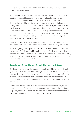for restricting access comply with the rule of law, including relevant freedom of information legislation.

Public authorities and private bodies which perform public functions, provide public services or utilise public funds have a duty to collect and maintain information on their operations and activities on behalf of their population. They also have an obligation to respect minimum standards in relation to the management of this information to ensure that it may easily be made accessible to all. States and relevant non-state actors should demonstrate good practices in the management of data. The use and re-use of government-held data and information should be available free of charge wherever practical. If not, pricing should be transparent, reasonable, the same for all users, and not designed as a barrier to the use or re-use of the data.

Copyrighted materials held by public bodies should be licensed for re-use in accordance with relevant access to information laws and licensing frameworks.

The existing obligation on public bodies to share all information produced with the support of public funds, subject only to clearly defined rules set out in law, as established by the Declaration of Principles on Freedom of Expression in Africa, shall extend to the proactive release of such information on the Internet in openly licensed, freely re-useable formats.

# Freedom of Assembly and Association and the Internet

The Internet can augment the opportunities and capabilities of individuals and groups to form associations and to manage organisations and associations. It can increase the membership and reach of associations by allowing groups of people to communicate despite physical boundaries. It provides new tools for those organising assemblies offline, as well as the possibility of conducting assemblies and protests online.

Hence, everyone should enjoy unrestricted access to the Internet. Any shutting down or blocking of access to social networking platforms, and in fact the Internet in general, constitutes a direct interference with this right. Free and open access to the Internet must therefore be protected at all times.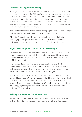# Cultural and Linguistic Diversity

The linguistic and cultural diversity which exists on the African continent must be promoted and reflected online. This requires states to put in place comprehensive policies, and allocation of resources, to support the development and use of tools to facilitate linguistic diversity on the Internet. This includes the promotion of technology and content required to access and use domain names, software, services and content in all languages and scripts. Special attention should be given to promoting access in minority languages.

There is a need to promote free or low-cost training opportunities and methodologies and materials for minority-language speakers on using the Internet.

Diversity of content should also be preserved and promoted, including by encouraging diverse groups and communities to share their content online and through the digitisation of educational, scientific and cultural heritage.

#### Right to Development and Access to Knowledge

Developing media and information literacy is essential in ensuring that consumers of media products have the skills to find evaluate and engage with various types of information, including those relevant for their social, economic, cultural and political development.

Information and communication technologies should be designed, developed and implemented in a manner that contributes to sustainable human development and empowerment. Accordingly, policies should be adopted to create an environment which enables various actors to pursue initiatives in this regard.

Media and information literacy programmes should be instituted in schools and in other public institutions. Where practical, school children and other learners should have access to Internet-enabled devices. There is also a need for policies that improve girls' access to quality education and ICT, gender mainstreaming in Science, Technology, Engineering and Mathematics (STEM) policies, and family-friendly policies in STEM workplaces.

#### Privacy and Personal Data Protection

Personal data or information shall only be collected and/or processed by states and non-state actors such as access providers, mail providers, hosts and other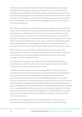intermediaries, in compliance with well-established data protection principles, including the following: personal data or information must be processed fairly and lawfully; personal data or information must be obtained only for one or more specified and lawful purposes; personal data or information must not be excessive in relation to the purpose or purposes for which they are processed; and personal data or information must be deleted when no longer necessary for the purposes for which it is collected.

The collection, retention, use and disclosure of personal data or information must comply with a transparent privacy policy which allows people to find out what data or information is collected about them, to correct inaccurate information, and to protect such data or information from disclosure that they have not authorised. The public should be warned about the potential for misuse of data that they supply online. Government bodies and non-state actors collecting, retaining, processing or disclosing data have a responsibility to notify the concerned party when the personal data or information collected about them has been abused, lost or stolen.

Mass or indiscriminate surveillance of individuals or the monitoring of their communications, constitutes a disproportionate interference, and thus a violation, of the right to privacy, freedom of expression and other human rights. Mass surveillance shall be prohibited by law.

The collection, interception and retention of communications data amounts to an interference with the right to privacy and freedom of expression whether or not the data is subsequently examined or used.

In order to meet the requirements of international human rights law, targeted surveillance of online communications must be governed by clear and transparent laws which, at a minimum, comply with the following basic principles: first, communications surveillance must be both targeted and based on reasonable suspicion of commission or involvement in the commission of serious crime; second, communications surveillance must be judicially authorised and individuals placed under surveillance must be notified that their communications have been monitored as soon as practicable after the conclusion of the surveillance operation; third, the application of surveillance laws must be subject to strong parliamentary oversight to prevent abuse and ensure the accountability of intelligence services and law enforcement agencies.

It should also be recognised that for the enjoyment of their right to privacy, individuals must be protected from unlawful surveillance by other individuals,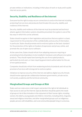private entities or institutions, including in their place of work or study and in public Internet access points.

#### Security, Stability and Resilience of the Internet

Everyone has the right to enjoy secure connections to and on the Internet including protecting from services and protocols that threaten the security, stability and resilience of the Internet.

Security, stability and resilience of the Internet must be protected and technical attacks against information systems should be prevented. Encryption is one of the key ways in which this can be achieved.

States should recognise in their legislation and practices that encryption is a basic requirement for the protection of the confidentiality and security of information. In particular, States should promote end-to-end encryption as the basic standard for the protection of the rights to freedom of expression and privacy online, and promote the use of open source software.

At the same time, States should refrain from adopting measures requiring or promoting technical backdoors to be installed in hardware and software encryption products. They should repeal laws banning the use of encrypted products, particularly by end-users, or laws requiring government authorisation for the use of encrypted products.

Companies should also refrain from weakening technical standards and roll out the provision of services with strong end-to-end encryption.

Initiatives to improve security of the Internet and address digital security threats should involve appropriate collaboration between governments, private sector, civil society, academia and the technical community.

#### Marginalised Groups and Groups at Risk

States and non-state actors shall respect and protect the right of all individuals to have access to and use the Internet. Special attention should be paid to the needs of groups at risk of discrimination in the enjoyment of their human rights, including women, the elderly, young people and children; minorities, including ethnic, linguistic, sexual and religious minorities; and other marginalised groups such as indigenous people, persons with disabilities, and rural communities/people living in rural areas.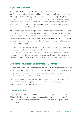#### Right to Due Process

States must respect the right of every individual to equal protection under the law. This means that no one can be arbitrarily detained or punished for any action, including in relation to any legal claims or violations of the law regarding the Internet. Protection of this right requires entitlement to a fair and public hearing within a reasonable time by an independent, competent and impartial tribunal established by law. The court concerned should ensure that adequate relief is possible when dealing with a matter.

Jurisdiction in legal cases relating to Internet content should be restricted to States to which those cases have a real and substantial connection, normally because the author is established there, the content is uploaded there and/or the content is specifically directed at that State. Private parties should only be able to bring a case in a given jurisdiction where they can establish that they have suffered substantial harm in that jurisdiction.

For content that was uploaded in substantially the same form and at the same place, limitation periods for bringing legal cases should start to run from the first time the content was uploaded and only one action for damages should be allowed to be brought in respect of that content, where appropriate by allowing for damages suffered in all jurisdictions to be recovered at one time (the 'single publication' rule).

#### Democratic Multistakeholder Internet Governance

It is important that multistakeholder decisions and policy formulations are improved at the national level in order to ensure the full participation of all interested parties. Independent, well-resourced, multistakeholder bodies should be established to guide Internet policy at the national level.

National Internet governance mechanisms should serve as a link between local concerns and regional and global governance mechanisms, including on the evolution of the Internet governance regime.

# Gender Equality

Aside from addressing the gender digital divide (mentioned under Principle 2 and 13 of this Declaration), the creation and promotion of online content that reflects women's voices and needs, and promotes and supports women's rights, should be encouraged.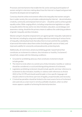Processes and mechanisms that enable the full, active and equal participation of women and girls in decision making about how the Internet is shaped and governed should be developed and strengthened.

Conscious that the online environment reflects the inequality that women and girls face in wider society, the core principles underpinning the Internet – decentralisation, creativity, community and empowerment of users – should be used to achieve gender equality online. Wide-ranging efforts, including comprehensive legislation on rights to equality before the law and to non-discrimination, education, social dialogue and awareness-raising, should be the primary means to address the underlying problems of gender inequality and discrimination.

Women and girls should be empowered to act against gender inequality replicated on the Internet, including by using tools enabling collective monitoring of various forms of inequality, individualised tools that allow them to track and limit the availability of personal information about them online (including public sources of data), and improved usability for anonymity and pseudonymity-protecting tools.

Additionally, all restrictions aimed at prohibiting gender-based hatred that constitutes an incitement to violence, discrimination or hostility ('incitement') should fully comply with the following conditions:

- Grounds for prohibiting advocacy that constitutes incitement should include gender;
- The intent to incite others to commit acts of discrimination, hostility or violence should be considered a crucial and distinguishing element of incitement;
- Legislation prohibiting incitement should include specific and clear reference to incitement to discrimination, hostility or violence with references to Article 20(2) of the ICCPR and should avoid broader or less specific language and should conform to the three-part test of legality, proportionality and necessity;
- Criminal law penalties should be limited to the most severe forms of incitement and used only as a last resort in strictly justifiable situations, when no other means appears capable of achieving the desired protection.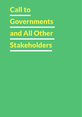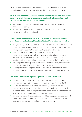We call on all stakeholders to take action alone and in collaboration towards the realisation of the rights and principles in this Declaration, as outlined below:

#### All African stakeholders, including regional and sub-regional bodies, national governments, civil society organisations, media institutions, and relevant technology and Internet companies, should:

- Formally endorse this Declaration, the African Declaration on Internet Rights and Freedoms;
- Use this Declaration to develop a deeper understanding of how existing human rights apply to the Internet.

#### National governments in Africa, as principal duty-bearers, must respect, protect and guarantee the rights outlined in this Declaration, including by:

- Ratifying and giving effect to all relevant international and regional human rights treaties on human rights related to protection of human rights on the Internet, through incorporation to their domestic legislation or otherwise;
- Adopting clear legal, regulatory, and policy frameworks for the protection of these rights, in full compliance with international standards and best practice, and with the full and effective participation of civil society and other concerned stakeholders at all stages of their development;
- Providing sufficient safeguards against the violation of these rights and ensure that effective remedies for their violations are available;
- Ensuring that national regulators in the telecommunications and Internet sectors are well-resourced, transparent and independent in their operations.

#### Pan-African and African regional organisations and institutions:

- The African Commission on Human and Peoples' Rights should establish a mechanism to promote and monitor Internet rights and freedoms in Africa;
- The African Union should take the lead in creating a common African Programme of Action on Internet Governance, which will ensure that the rights of Africans on the Internet are promoted and upheld, and that African concerns are recognised in the global Internet governance regime;
- Other relevant pan-African institutions should develop programmes to support national institutions (including national human rights commissions and the judiciary) to understand and protect human rights online;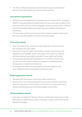• The African Telecommunications Union should recognise and promote the access and affordability principle of this Declaration.

#### International organisations:

- UNESCO should integrate the Declaration into its "Priority Africa" strategies: UNESCO should promote the advancement of social and cultural rights on the Internet as well as the use of local languages and local content online. UNESCO should also develop model laws protecting online freedom of expression and privacy;
- The International Telecommunication Union should recognise and promote the Access and Affordability principle of this Declaration.

#### Civil society should:

- Seek to increase public awareness of the importance of the Internet in the realisation of human rights;
- Advocate for Internet rights and freedoms; monitor Internet laws and regulations; and highlight abuses, including in their reports to regional and international treaty bodies and other human rights mechanisms;
- Communicate with the Special Rapporteur on Freedom of Expression and Access to Information in Africa on measures to uphold freedom of expression in relation to the Internet;
- Encourage and monitor the participation of women and girls in all areas related to Internet development and governance.

#### Media organisations should:

- Popularise this Declaration and the principles outlined in it;
- Improve their own understanding of Internet issues and foster awareness about the importance of the Internet to all sectors of society, particularly among marginalised groups and disadvantaged communities.

#### All intermediaries should:

• Internalise and apply the "Respect, Protect and Remedy" framework to fulfil their duties to uphold human rights, including in relation to the Internet and digital technologies;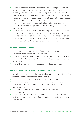- Respect human rights to the fullest extent possible. For example, where faced with government demands which would violate human rights, companies should interpret government demands as narrowly as possible, seek clarification of the scope and legal foundation for such demands, require a court order before meeting government requests, and communicate transparently with users about risks and compliance with government demands;
- Invest in online tools, software and applications that enhance local and intercultural content exchange, and simplify the exchange of information across language barriers;
- Publish transparency reports on government requests for user data, content removal, network disruptions, and compliance rates on a regular basis. All company policies on privacy and data protection, including data retention rates and breach notification policies, should be translated to local languages and easily accessible on the company's country-level website.

#### Technical communities should:

- Innovate and develop open source software, open data, and open educational resources relevant to African users;
- Engage actively in the multistakeholder processes that deal with human rights as well as Internet governance in Africa and provide policy inputs to Internetrelated issues;
- Ensure African participation in the development of open standards.

#### Academic, research and training institutions in Africa should:

- Actively respect and promote the open standards of the Internet in terms of the technical architecture and design of the Internet;
- Integrate courses on Internet rights and freedoms in their curriculum;
- Promote and contribute to the development of local content, particularly content that fosters the use of the Internet by marginalised groups and communities;
- Proactively engage in the generation of scientific evidence on Internet rights and freedoms in Africa;
- Promote and participate in the reinforcement of Africa's capacity to contribute content and expertise in global, regional and national Internet development and policy forums.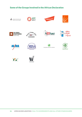# Some of the Groups Involved in the African Declaration





















TSF